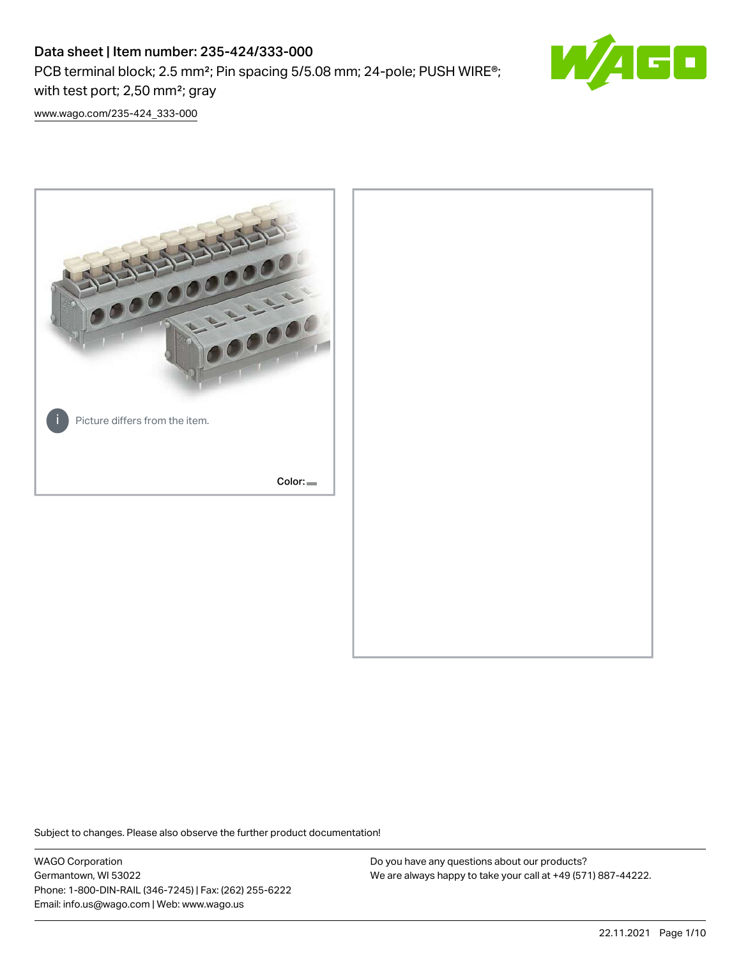PCB terminal block; 2.5 mm<sup>2</sup>; Pin spacing 5/5.08 mm; 24-pole; PUSH WIRE<sup>®</sup>; with test port; 2,50 mm²; gray



[www.wago.com/235-424\\_333-000](http://www.wago.com/235-424_333-000)



Subject to changes. Please also observe the further product documentation!

WAGO Corporation Germantown, WI 53022 Phone: 1-800-DIN-RAIL (346-7245) | Fax: (262) 255-6222 Email: info.us@wago.com | Web: www.wago.us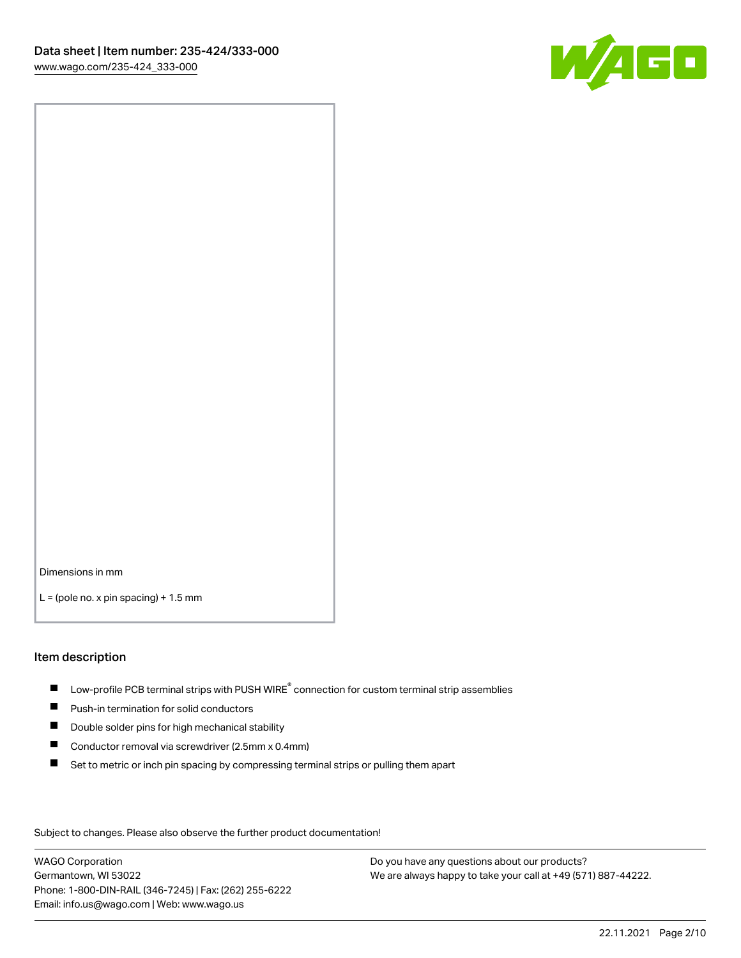

Dimensions in mm

 $L =$  (pole no. x pin spacing) + 1.5 mm

#### Item description

- $\blacksquare$  Low-profile PCB terminal strips with PUSH WIRE<sup>®</sup> connection for custom terminal strip assemblies
- **Push-in termination for solid conductors**
- $\blacksquare$ Double solder pins for high mechanical stability
- $\blacksquare$ Conductor removal via screwdriver (2.5mm x 0.4mm)
- $\blacksquare$ Set to metric or inch pin spacing by compressing terminal strips or pulling them apart

Subject to changes. Please also observe the further product documentation!

WAGO Corporation Germantown, WI 53022 Phone: 1-800-DIN-RAIL (346-7245) | Fax: (262) 255-6222 Email: info.us@wago.com | Web: www.wago.us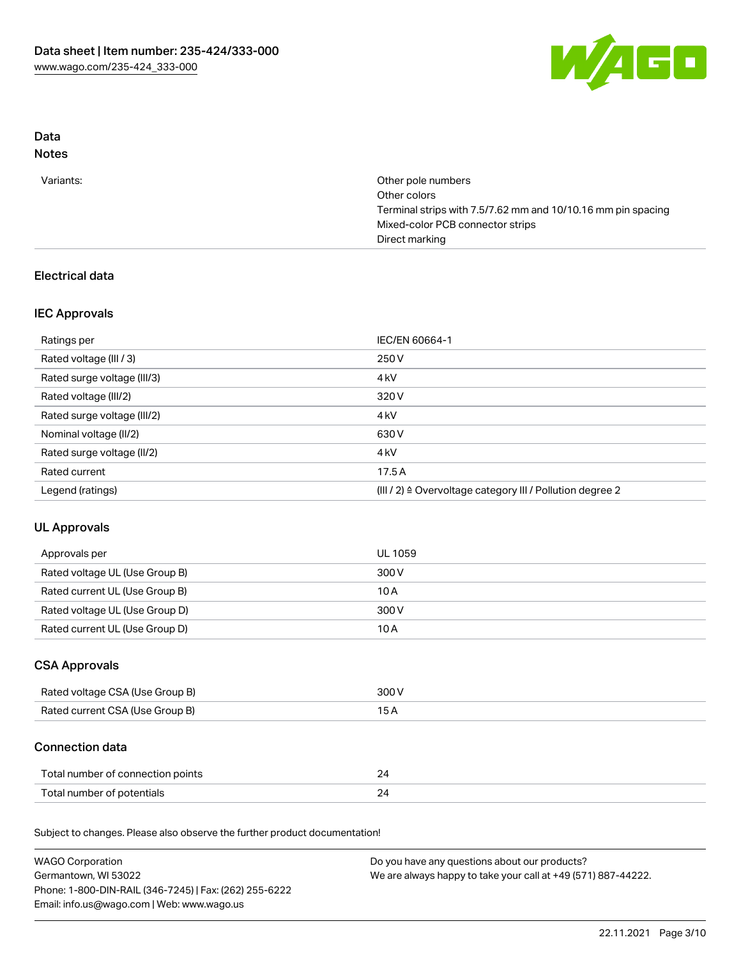

# Data

## Notes

| Variants: | Other pole numbers                                           |
|-----------|--------------------------------------------------------------|
|           | Other colors                                                 |
|           | Terminal strips with 7.5/7.62 mm and 10/10.16 mm pin spacing |
|           | Mixed-color PCB connector strips                             |
|           | Direct marking                                               |

## Electrical data

## IEC Approvals

| Ratings per                 | IEC/EN 60664-1                                            |
|-----------------------------|-----------------------------------------------------------|
| Rated voltage (III / 3)     | 250 V                                                     |
| Rated surge voltage (III/3) | 4 <sub>k</sub> V                                          |
| Rated voltage (III/2)       | 320 V                                                     |
| Rated surge voltage (III/2) | 4 <sub>k</sub> V                                          |
| Nominal voltage (II/2)      | 630 V                                                     |
| Rated surge voltage (II/2)  | 4 <sub>k</sub> V                                          |
| Rated current               | 17.5A                                                     |
| Legend (ratings)            | (III / 2) ≙ Overvoltage category III / Pollution degree 2 |

## UL Approvals

| Approvals per                  | UL 1059 |
|--------------------------------|---------|
| Rated voltage UL (Use Group B) | 300 V   |
| Rated current UL (Use Group B) | 10 A    |
| Rated voltage UL (Use Group D) | 300 V   |
| Rated current UL (Use Group D) | 10 A    |

## CSA Approvals

| Rated voltage CSA (Use Group B) | 300 V |
|---------------------------------|-------|
| Rated current CSA (Use Group B) |       |

## Connection data

| Total number of connection points |  |
|-----------------------------------|--|
| Total number of potentials        |  |

Subject to changes. Please also observe the further product documentation!

| <b>WAGO Corporation</b>                                | Do you have any questions about our products?                 |
|--------------------------------------------------------|---------------------------------------------------------------|
| Germantown, WI 53022                                   | We are always happy to take your call at +49 (571) 887-44222. |
| Phone: 1-800-DIN-RAIL (346-7245)   Fax: (262) 255-6222 |                                                               |
| Email: info.us@wago.com   Web: www.wago.us             |                                                               |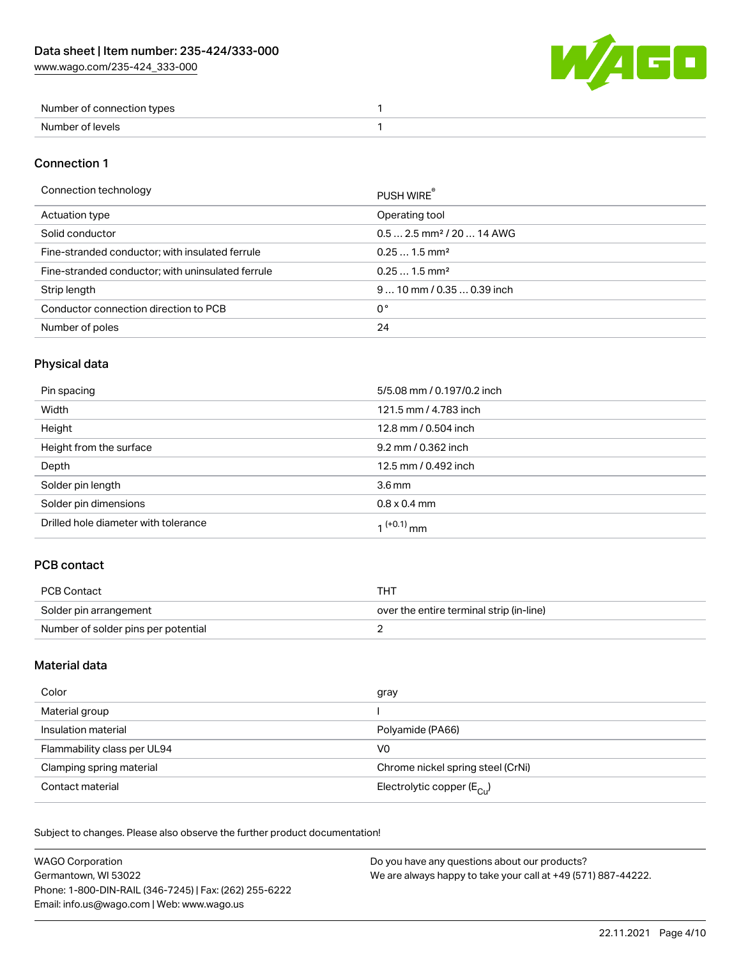[www.wago.com/235-424\\_333-000](http://www.wago.com/235-424_333-000)



| Number of connection types |  |
|----------------------------|--|
| . Numher of v<br>عاصرها ·  |  |

### Connection 1

| Connection technology                             | PUSH WIRE                              |
|---------------------------------------------------|----------------------------------------|
| Actuation type                                    | Operating tool                         |
| Solid conductor                                   | $0.5$ 2.5 mm <sup>2</sup> / 20  14 AWG |
| Fine-stranded conductor; with insulated ferrule   | $0.251.5$ mm <sup>2</sup>              |
| Fine-stranded conductor; with uninsulated ferrule | $0.251.5$ mm <sup>2</sup>              |
| Strip length                                      | $910$ mm / 0.35  0.39 inch             |
| Conductor connection direction to PCB             | 0°                                     |
| Number of poles                                   | 24                                     |
|                                                   |                                        |

## Physical data

| Pin spacing                          | 5/5.08 mm / 0.197/0.2 inch |
|--------------------------------------|----------------------------|
| Width                                | 121.5 mm / 4.783 inch      |
| Height                               | 12.8 mm / 0.504 inch       |
| Height from the surface              | 9.2 mm / 0.362 inch        |
| Depth                                | 12.5 mm / 0.492 inch       |
| Solder pin length                    | 3.6 <sub>mm</sub>          |
| Solder pin dimensions                | $0.8 \times 0.4$ mm        |
| Drilled hole diameter with tolerance | $1^{(+0.1)}$ mm            |

## PCB contact

| PCB Contact                         | тнт                                      |
|-------------------------------------|------------------------------------------|
| Solder pin arrangement              | over the entire terminal strip (in-line) |
| Number of solder pins per potential |                                          |

### Material data

| Color                       | gray                                    |
|-----------------------------|-----------------------------------------|
| Material group              |                                         |
| Insulation material         | Polyamide (PA66)                        |
| Flammability class per UL94 | V0                                      |
| Clamping spring material    | Chrome nickel spring steel (CrNi)       |
| Contact material            | Electrolytic copper ( $E_{\text{Cl}}$ ) |

Subject to changes. Please also observe the further product documentation!

| <b>WAGO Corporation</b>                                | Do you have any questions about our products?                 |
|--------------------------------------------------------|---------------------------------------------------------------|
| Germantown, WI 53022                                   | We are always happy to take your call at +49 (571) 887-44222. |
| Phone: 1-800-DIN-RAIL (346-7245)   Fax: (262) 255-6222 |                                                               |
| Email: info.us@wago.com   Web: www.wago.us             |                                                               |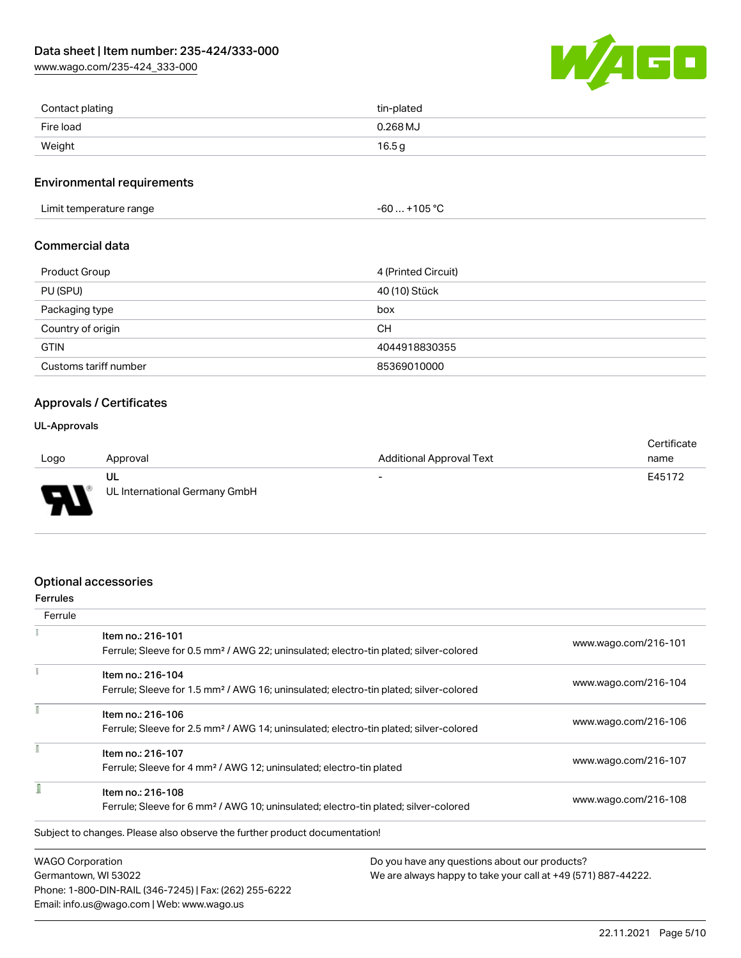[www.wago.com/235-424\\_333-000](http://www.wago.com/235-424_333-000)



| Contact plating | tin-plated |
|-----------------|------------|
| Fire load       | $0.268$ MJ |
| Weight          | 16.5g      |

#### Environmental requirements

Limit temperature range  $-60... +105$  °C

### Commercial data

| <b>Product Group</b>  | 4 (Printed Circuit) |
|-----------------------|---------------------|
| PU (SPU)              | 40 (10) Stück       |
| Packaging type        | box                 |
| Country of origin     | CН                  |
| <b>GTIN</b>           | 4044918830355       |
| Customs tariff number | 85369010000         |

### Approvals / Certificates

### UL-Approvals

| Logo | Approval                            | Additional Approval Text | Certificate<br>name |
|------|-------------------------------------|--------------------------|---------------------|
| L    | UL<br>UL International Germany GmbH | $\overline{\phantom{0}}$ | E45172              |

### Optional accessories

Email: info.us@wago.com | Web: www.wago.us

| <b>Ferrules</b>         |                                                                                                                        |                                               |                                                               |  |
|-------------------------|------------------------------------------------------------------------------------------------------------------------|-----------------------------------------------|---------------------------------------------------------------|--|
| Ferrule                 |                                                                                                                        |                                               |                                                               |  |
|                         | Item no.: 216-101<br>Ferrule; Sleeve for 0.5 mm <sup>2</sup> / AWG 22; uninsulated; electro-tin plated; silver-colored |                                               | www.wago.com/216-101                                          |  |
|                         |                                                                                                                        |                                               |                                                               |  |
|                         | Item no.: 216-104                                                                                                      |                                               |                                                               |  |
|                         | Ferrule; Sleeve for 1.5 mm <sup>2</sup> / AWG 16; uninsulated; electro-tin plated; silver-colored                      |                                               | www.wago.com/216-104                                          |  |
|                         | Item no.: 216-106                                                                                                      |                                               | www.wago.com/216-106                                          |  |
|                         | Ferrule; Sleeve for 2.5 mm <sup>2</sup> / AWG 14; uninsulated; electro-tin plated; silver-colored                      |                                               |                                                               |  |
|                         | Item no.: 216-107                                                                                                      |                                               |                                                               |  |
|                         | Ferrule; Sleeve for 4 mm <sup>2</sup> / AWG 12; uninsulated; electro-tin plated                                        |                                               | www.wago.com/216-107                                          |  |
|                         | Item no.: 216-108                                                                                                      |                                               |                                                               |  |
|                         | Ferrule; Sleeve for 6 mm <sup>2</sup> / AWG 10; uninsulated; electro-tin plated; silver-colored                        |                                               | www.wago.com/216-108                                          |  |
|                         | Subject to changes. Please also observe the further product documentation!                                             |                                               |                                                               |  |
| <b>WAGO Corporation</b> |                                                                                                                        | Do you have any questions about our products? |                                                               |  |
| Germantown, WI 53022    |                                                                                                                        |                                               | We are always happy to take your call at +49 (571) 887-44222. |  |
|                         | Phone: 1-800-DIN-RAIL (346-7245)   Fax: (262) 255-6222                                                                 |                                               |                                                               |  |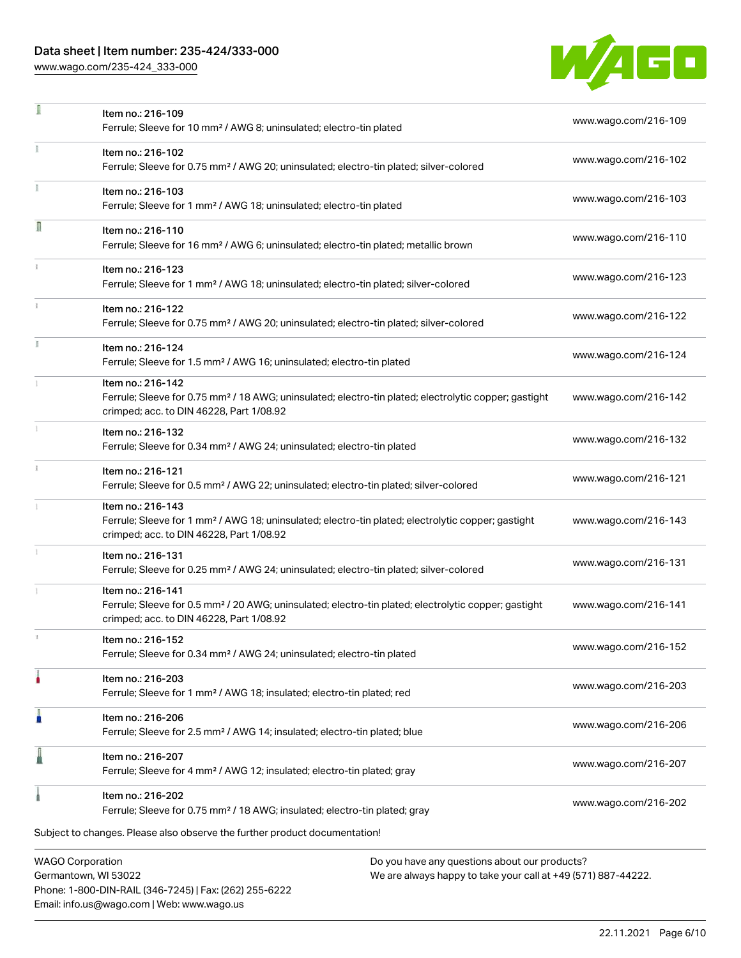Phone: 1-800-DIN-RAIL (346-7245) | Fax: (262) 255-6222

Email: info.us@wago.com | Web: www.wago.us

[www.wago.com/235-424\\_333-000](http://www.wago.com/235-424_333-000)

÷,



| ı | Item no.: 216-109<br>Ferrule; Sleeve for 10 mm <sup>2</sup> / AWG 8; uninsulated; electro-tin plated                                                                               |                                                                                                                | www.wago.com/216-109 |
|---|------------------------------------------------------------------------------------------------------------------------------------------------------------------------------------|----------------------------------------------------------------------------------------------------------------|----------------------|
|   | Item no.: 216-102<br>Ferrule; Sleeve for 0.75 mm <sup>2</sup> / AWG 20; uninsulated; electro-tin plated; silver-colored                                                            |                                                                                                                | www.wago.com/216-102 |
|   | Item no.: 216-103<br>Ferrule; Sleeve for 1 mm <sup>2</sup> / AWG 18; uninsulated; electro-tin plated                                                                               |                                                                                                                | www.wago.com/216-103 |
| Ω | Item no.: 216-110<br>Ferrule; Sleeve for 16 mm <sup>2</sup> / AWG 6; uninsulated; electro-tin plated; metallic brown                                                               |                                                                                                                | www.wago.com/216-110 |
|   | Item no.: 216-123<br>Ferrule; Sleeve for 1 mm <sup>2</sup> / AWG 18; uninsulated; electro-tin plated; silver-colored                                                               |                                                                                                                | www.wago.com/216-123 |
|   | Item no.: 216-122<br>Ferrule; Sleeve for 0.75 mm <sup>2</sup> / AWG 20; uninsulated; electro-tin plated; silver-colored                                                            |                                                                                                                | www.wago.com/216-122 |
|   | Item no.: 216-124<br>Ferrule; Sleeve for 1.5 mm <sup>2</sup> / AWG 16; uninsulated; electro-tin plated                                                                             |                                                                                                                | www.wago.com/216-124 |
|   | Item no.: 216-142<br>Ferrule; Sleeve for 0.75 mm <sup>2</sup> / 18 AWG; uninsulated; electro-tin plated; electrolytic copper; gastight<br>crimped; acc. to DIN 46228, Part 1/08.92 |                                                                                                                | www.wago.com/216-142 |
|   | Item no.: 216-132<br>Ferrule; Sleeve for 0.34 mm <sup>2</sup> / AWG 24; uninsulated; electro-tin plated                                                                            |                                                                                                                | www.wago.com/216-132 |
|   | Item no.: 216-121<br>Ferrule; Sleeve for 0.5 mm <sup>2</sup> / AWG 22; uninsulated; electro-tin plated; silver-colored                                                             |                                                                                                                | www.wago.com/216-121 |
|   | Item no.: 216-143<br>Ferrule; Sleeve for 1 mm <sup>2</sup> / AWG 18; uninsulated; electro-tin plated; electrolytic copper; gastight<br>crimped; acc. to DIN 46228, Part 1/08.92    |                                                                                                                | www.wago.com/216-143 |
|   | Item no.: 216-131<br>Ferrule; Sleeve for 0.25 mm <sup>2</sup> / AWG 24; uninsulated; electro-tin plated; silver-colored                                                            |                                                                                                                | www.wago.com/216-131 |
|   | Item no.: 216-141<br>Ferrule; Sleeve for 0.5 mm <sup>2</sup> / 20 AWG; uninsulated; electro-tin plated; electrolytic copper; gastight<br>crimped; acc. to DIN 46228, Part 1/08.92  |                                                                                                                | www.wago.com/216-141 |
|   | Item no.: 216-152<br>Ferrule; Sleeve for 0.34 mm <sup>2</sup> / AWG 24; uninsulated; electro-tin plated                                                                            |                                                                                                                | www.wago.com/216-152 |
|   | Item no.: 216-203<br>Ferrule; Sleeve for 1 mm <sup>2</sup> / AWG 18; insulated; electro-tin plated; red                                                                            |                                                                                                                | www.wago.com/216-203 |
|   | Item no.: 216-206<br>Ferrule; Sleeve for 2.5 mm <sup>2</sup> / AWG 14; insulated; electro-tin plated; blue                                                                         |                                                                                                                | www.wago.com/216-206 |
|   | Item no.: 216-207<br>Ferrule; Sleeve for 4 mm <sup>2</sup> / AWG 12; insulated; electro-tin plated; gray                                                                           |                                                                                                                | www.wago.com/216-207 |
|   | Item no.: 216-202<br>Ferrule; Sleeve for 0.75 mm <sup>2</sup> / 18 AWG; insulated; electro-tin plated; gray                                                                        |                                                                                                                | www.wago.com/216-202 |
|   | Subject to changes. Please also observe the further product documentation!                                                                                                         |                                                                                                                |                      |
|   | <b>WAGO Corporation</b><br>Germantown, WI 53022                                                                                                                                    | Do you have any questions about our products?<br>We are always happy to take your call at +49 (571) 887-44222. |                      |

22.11.2021 Page 6/10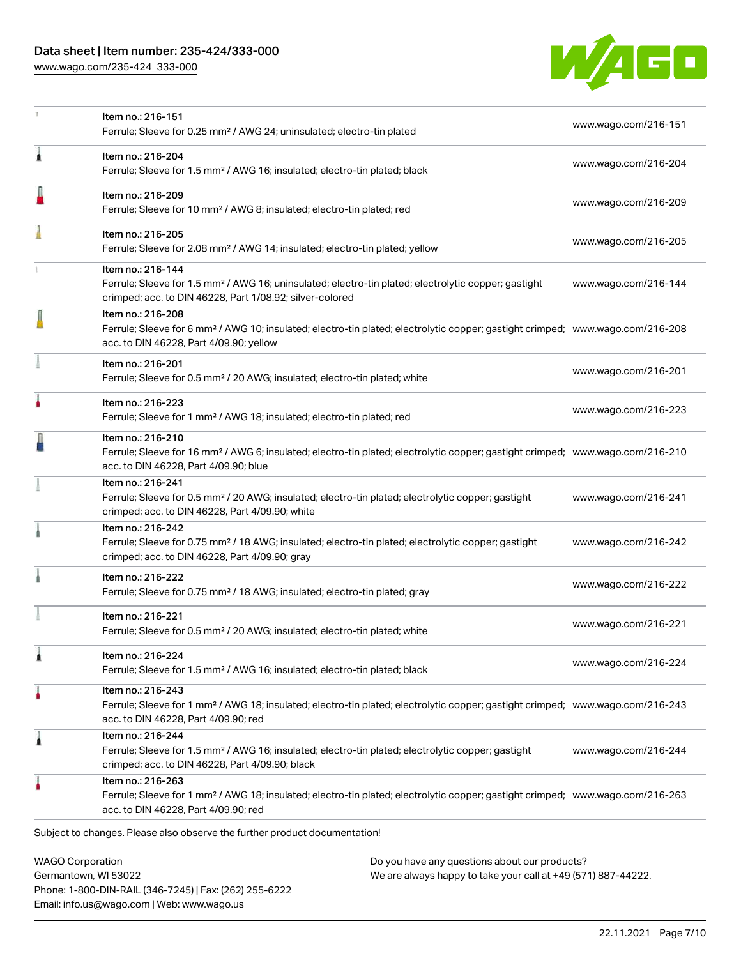[www.wago.com/235-424\\_333-000](http://www.wago.com/235-424_333-000)

Email: info.us@wago.com | Web: www.wago.us



|                                                 | Item no.: 216-151<br>Ferrule; Sleeve for 0.25 mm <sup>2</sup> / AWG 24; uninsulated; electro-tin plated                                                                                                    |                                                                                                                | www.wago.com/216-151 |
|-------------------------------------------------|------------------------------------------------------------------------------------------------------------------------------------------------------------------------------------------------------------|----------------------------------------------------------------------------------------------------------------|----------------------|
| 1                                               | Item no.: 216-204<br>Ferrule; Sleeve for 1.5 mm <sup>2</sup> / AWG 16; insulated; electro-tin plated; black                                                                                                |                                                                                                                | www.wago.com/216-204 |
|                                                 | Item no.: 216-209<br>Ferrule; Sleeve for 10 mm <sup>2</sup> / AWG 8; insulated; electro-tin plated; red                                                                                                    |                                                                                                                | www.wago.com/216-209 |
|                                                 | Item no.: 216-205<br>Ferrule; Sleeve for 2.08 mm <sup>2</sup> / AWG 14; insulated; electro-tin plated; yellow                                                                                              |                                                                                                                | www.wago.com/216-205 |
|                                                 | Item no.: 216-144<br>Ferrule; Sleeve for 1.5 mm <sup>2</sup> / AWG 16; uninsulated; electro-tin plated; electrolytic copper; gastight<br>crimped; acc. to DIN 46228, Part 1/08.92; silver-colored          |                                                                                                                | www.wago.com/216-144 |
|                                                 | Item no.: 216-208<br>Ferrule; Sleeve for 6 mm <sup>2</sup> / AWG 10; insulated; electro-tin plated; electrolytic copper; gastight crimped; www.wago.com/216-208<br>acc. to DIN 46228, Part 4/09.90; yellow |                                                                                                                |                      |
|                                                 | Item no.: 216-201<br>Ferrule; Sleeve for 0.5 mm <sup>2</sup> / 20 AWG; insulated; electro-tin plated; white                                                                                                |                                                                                                                | www.wago.com/216-201 |
|                                                 | Item no.: 216-223<br>Ferrule; Sleeve for 1 mm <sup>2</sup> / AWG 18; insulated; electro-tin plated; red                                                                                                    |                                                                                                                | www.wago.com/216-223 |
|                                                 | Item no.: 216-210<br>Ferrule; Sleeve for 16 mm <sup>2</sup> / AWG 6; insulated; electro-tin plated; electrolytic copper; gastight crimped; www.wago.com/216-210<br>acc. to DIN 46228, Part 4/09.90; blue   |                                                                                                                |                      |
|                                                 | Item no.: 216-241<br>Ferrule; Sleeve for 0.5 mm <sup>2</sup> / 20 AWG; insulated; electro-tin plated; electrolytic copper; gastight<br>crimped; acc. to DIN 46228, Part 4/09.90; white                     |                                                                                                                | www.wago.com/216-241 |
|                                                 | Item no.: 216-242<br>Ferrule; Sleeve for 0.75 mm <sup>2</sup> / 18 AWG; insulated; electro-tin plated; electrolytic copper; gastight<br>crimped; acc. to DIN 46228, Part 4/09.90; gray                     |                                                                                                                | www.wago.com/216-242 |
|                                                 | Item no.: 216-222<br>Ferrule; Sleeve for 0.75 mm <sup>2</sup> / 18 AWG; insulated; electro-tin plated; gray                                                                                                |                                                                                                                | www.wago.com/216-222 |
|                                                 | Item no.: 216-221<br>Ferrule; Sleeve for 0.5 mm <sup>2</sup> / 20 AWG; insulated; electro-tin plated; white                                                                                                |                                                                                                                | www.wago.com/216-221 |
|                                                 | Item no.: 216-224<br>Ferrule; Sleeve for 1.5 mm <sup>2</sup> / AWG 16; insulated; electro-tin plated; black                                                                                                |                                                                                                                | www.wago.com/216-224 |
|                                                 | Item no.: 216-243<br>Ferrule; Sleeve for 1 mm <sup>2</sup> / AWG 18; insulated; electro-tin plated; electrolytic copper; gastight crimped; www.wago.com/216-243<br>acc. to DIN 46228, Part 4/09.90; red    |                                                                                                                |                      |
| 1                                               | Item no.: 216-244<br>Ferrule; Sleeve for 1.5 mm <sup>2</sup> / AWG 16; insulated; electro-tin plated; electrolytic copper; gastight<br>crimped; acc. to DIN 46228, Part 4/09.90; black                     |                                                                                                                | www.wago.com/216-244 |
|                                                 | Item no.: 216-263<br>Ferrule; Sleeve for 1 mm <sup>2</sup> / AWG 18; insulated; electro-tin plated; electrolytic copper; gastight crimped; www.wago.com/216-263<br>acc. to DIN 46228, Part 4/09.90; red    |                                                                                                                |                      |
|                                                 | Subject to changes. Please also observe the further product documentation!                                                                                                                                 |                                                                                                                |                      |
| <b>WAGO Corporation</b><br>Germantown, WI 53022 | Phone: 1-800-DIN-RAIL (346-7245)   Fax: (262) 255-6222                                                                                                                                                     | Do you have any questions about our products?<br>We are always happy to take your call at +49 (571) 887-44222. |                      |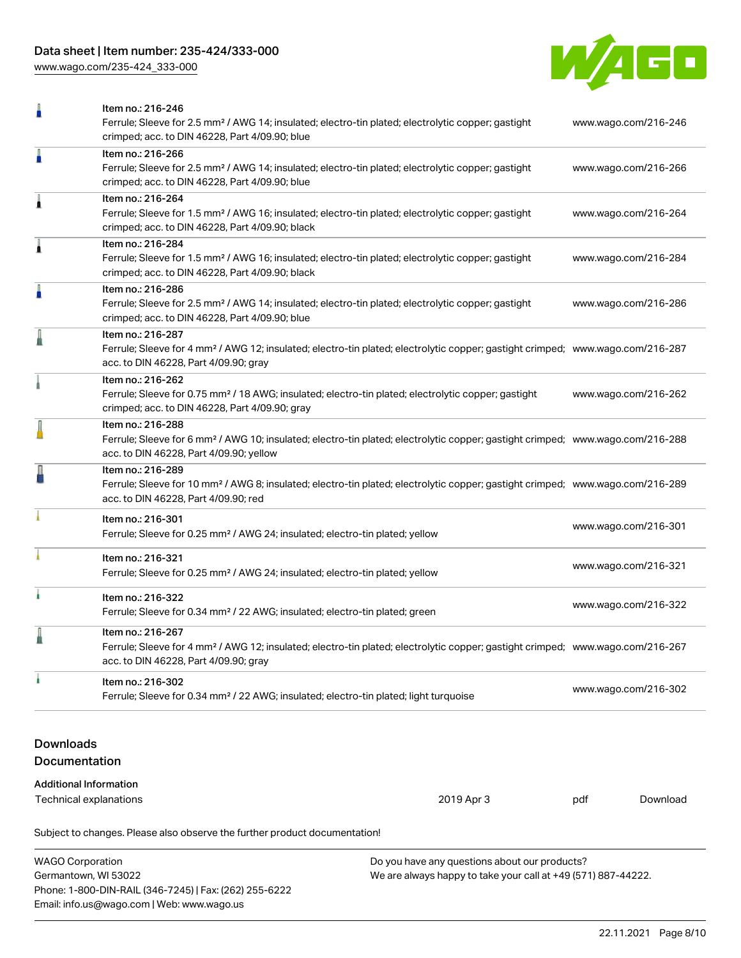[www.wago.com/235-424\\_333-000](http://www.wago.com/235-424_333-000)



|                                   | Item no.: 216-246<br>Ferrule; Sleeve for 2.5 mm <sup>2</sup> / AWG 14; insulated; electro-tin plated; electrolytic copper; gastight<br>crimped; acc. to DIN 46228, Part 4/09.90; blue                      |            |                      | www.wago.com/216-246 |  |
|-----------------------------------|------------------------------------------------------------------------------------------------------------------------------------------------------------------------------------------------------------|------------|----------------------|----------------------|--|
| Ä                                 | Item no.: 216-266<br>Ferrule; Sleeve for 2.5 mm <sup>2</sup> / AWG 14; insulated; electro-tin plated; electrolytic copper; gastight<br>crimped; acc. to DIN 46228, Part 4/09.90; blue                      |            | www.wago.com/216-266 |                      |  |
| 1                                 | Item no.: 216-264<br>Ferrule; Sleeve for 1.5 mm <sup>2</sup> / AWG 16; insulated; electro-tin plated; electrolytic copper; gastight<br>crimped; acc. to DIN 46228, Part 4/09.90; black                     |            |                      | www.wago.com/216-264 |  |
| 1                                 | Item no.: 216-284<br>Ferrule; Sleeve for 1.5 mm <sup>2</sup> / AWG 16; insulated; electro-tin plated; electrolytic copper; gastight<br>crimped; acc. to DIN 46228, Part 4/09.90; black                     |            |                      | www.wago.com/216-284 |  |
| ä                                 | Item no.: 216-286<br>Ferrule; Sleeve for 2.5 mm <sup>2</sup> / AWG 14; insulated; electro-tin plated; electrolytic copper; gastight<br>crimped; acc. to DIN 46228, Part 4/09.90; blue                      |            |                      | www.wago.com/216-286 |  |
|                                   | Item no.: 216-287<br>Ferrule; Sleeve for 4 mm <sup>2</sup> / AWG 12; insulated; electro-tin plated; electrolytic copper; gastight crimped; www.wago.com/216-287<br>acc. to DIN 46228, Part 4/09.90; gray   |            |                      |                      |  |
|                                   | Item no.: 216-262<br>Ferrule; Sleeve for 0.75 mm <sup>2</sup> / 18 AWG; insulated; electro-tin plated; electrolytic copper; gastight<br>crimped; acc. to DIN 46228, Part 4/09.90; gray                     |            | www.wago.com/216-262 |                      |  |
|                                   | Item no.: 216-288<br>Ferrule; Sleeve for 6 mm <sup>2</sup> / AWG 10; insulated; electro-tin plated; electrolytic copper; gastight crimped; www.wago.com/216-288<br>acc. to DIN 46228, Part 4/09.90; yellow |            |                      |                      |  |
|                                   | Item no.: 216-289<br>Ferrule; Sleeve for 10 mm <sup>2</sup> / AWG 8; insulated; electro-tin plated; electrolytic copper; gastight crimped; www.wago.com/216-289<br>acc. to DIN 46228, Part 4/09.90; red    |            |                      |                      |  |
|                                   | Item no.: 216-301<br>Ferrule; Sleeve for 0.25 mm <sup>2</sup> / AWG 24; insulated; electro-tin plated; yellow                                                                                              |            | www.wago.com/216-301 |                      |  |
|                                   | Item no.: 216-321<br>Ferrule; Sleeve for 0.25 mm <sup>2</sup> / AWG 24; insulated; electro-tin plated; yellow                                                                                              |            | www.wago.com/216-321 |                      |  |
| ۸                                 | Item no.: 216-322<br>Ferrule; Sleeve for 0.34 mm <sup>2</sup> / 22 AWG; insulated; electro-tin plated; green                                                                                               |            | www.wago.com/216-322 |                      |  |
|                                   | Item no.: 216-267<br>Ferrule; Sleeve for 4 mm <sup>2</sup> / AWG 12; insulated; electro-tin plated; electrolytic copper; gastight crimped; www.wago.com/216-267<br>acc. to DIN 46228, Part 4/09.90; gray   |            |                      |                      |  |
|                                   | Item no.: 216-302<br>Ferrule; Sleeve for 0.34 mm <sup>2</sup> / 22 AWG; insulated; electro-tin plated; light turquoise                                                                                     |            | www.wago.com/216-302 |                      |  |
| <b>Downloads</b><br>Documentation |                                                                                                                                                                                                            |            |                      |                      |  |
| <b>Additional Information</b>     |                                                                                                                                                                                                            |            |                      |                      |  |
| Technical explanations            |                                                                                                                                                                                                            | 2019 Apr 3 | pdf                  | Download             |  |
|                                   | Subject to changes. Please also observe the further product documentation!                                                                                                                                 |            |                      |                      |  |

| <b>WAGO Corporation</b>                                | Do you have any questions about our products?                 |
|--------------------------------------------------------|---------------------------------------------------------------|
| Germantown, WI 53022                                   | We are always happy to take your call at +49 (571) 887-44222. |
| Phone: 1-800-DIN-RAIL (346-7245)   Fax: (262) 255-6222 |                                                               |
| Email: info.us@wago.com   Web: www.wago.us             |                                                               |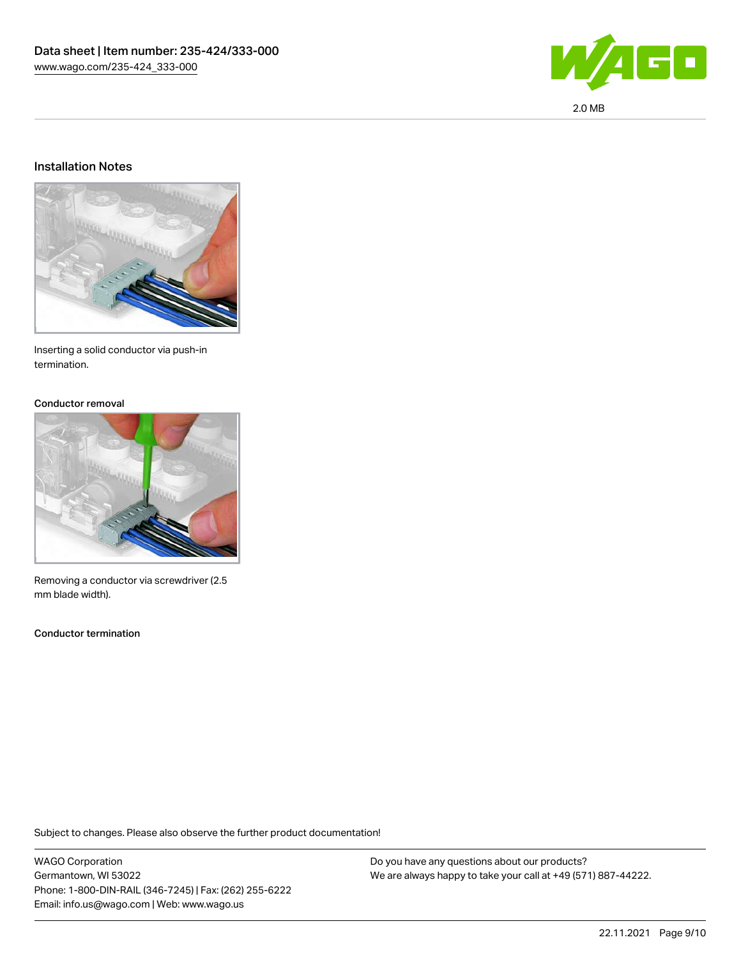

### Installation Notes



Inserting a solid conductor via push-in termination.

#### Conductor removal



Removing a conductor via screwdriver (2.5 mm blade width).

Conductor termination

Subject to changes. Please also observe the further product documentation!

WAGO Corporation Germantown, WI 53022 Phone: 1-800-DIN-RAIL (346-7245) | Fax: (262) 255-6222 Email: info.us@wago.com | Web: www.wago.us